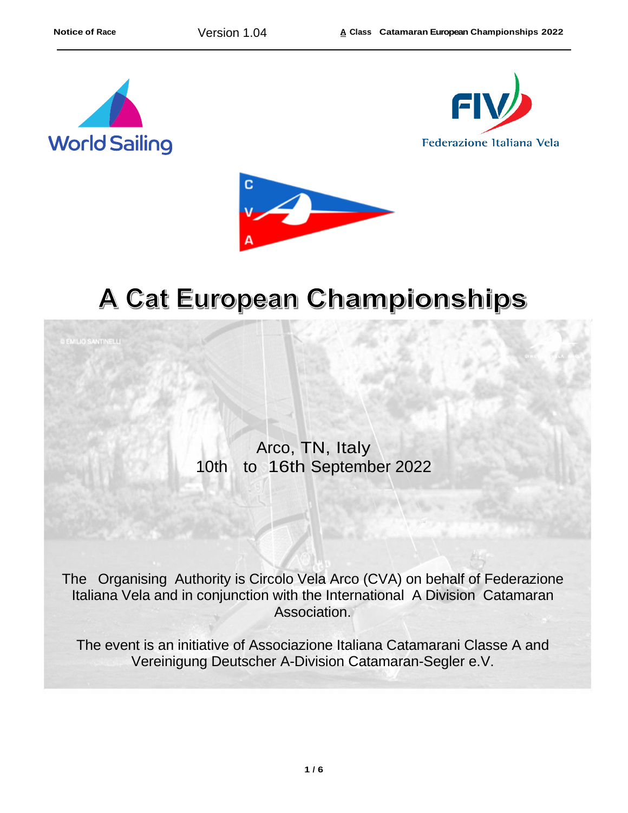





## A Cat European Championships

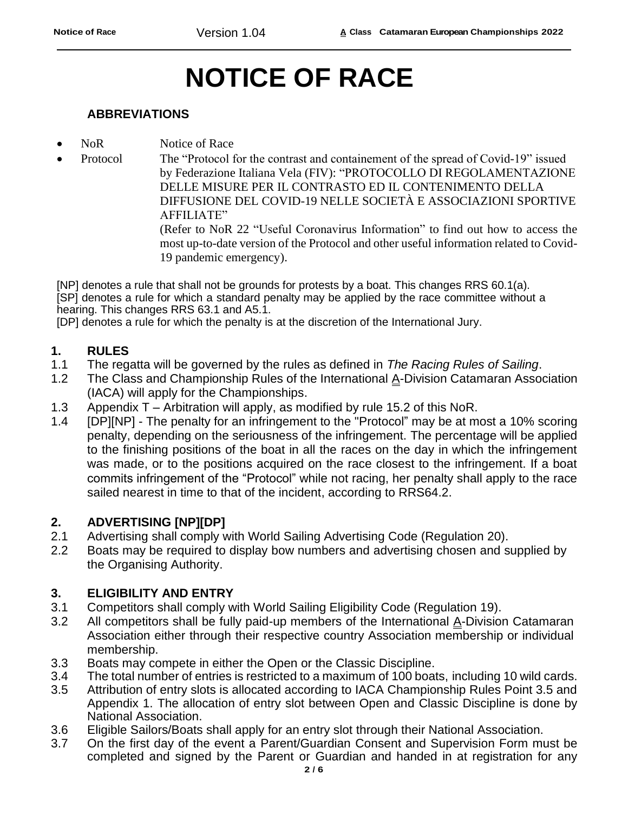# **NOTICE OF RACE**

#### **ABBREVIATIONS**

- NoR Notice of Race
- Protocol The "Protocol for the contrast and containement of the spread of Covid-19" issued by Federazione Italiana Vela (FIV): "PROTOCOLLO DI REGOLAMENTAZIONE DELLE MISURE PER IL CONTRASTO ED IL CONTENIMENTO DELLA DIFFUSIONE DEL COVID-19 NELLE SOCIETÀ E ASSOCIAZIONI SPORTIVE AFFILIATE"

(Refer to NoR 22 "Useful Coronavirus Information" to find out how to access the most up-to-date version of the Protocol and other useful information related to Covid-19 pandemic emergency).

[NP] denotes a rule that shall not be grounds for protests by a boat. This changes RRS 60.1(a). [SP] denotes a rule for which a standard penalty may be applied by the race committee without a hearing. This changes RRS 63.1 and A5.1.

[DP] denotes a rule for which the penalty is at the discretion of the International Jury.

#### **1. RULES**

- 1.1 The regatta will be governed by the rules as defined in *The Racing Rules of Sailing*.
- 1.2 The Class and Championship Rules of the International A-Division Catamaran Association (IACA) will apply for the Championships.
- 1.3 Appendix T Arbitration will apply, as modified by rule 15.2 of this NoR.
- 1.4 [DP][NP] The penalty for an infringement to the "Protocol" may be at most a 10% scoring penalty, depending on the seriousness of the infringement. The percentage will be applied to the finishing positions of the boat in all the races on the day in which the infringement was made, or to the positions acquired on the race closest to the infringement. If a boat commits infringement of the "Protocol" while not racing, her penalty shall apply to the race sailed nearest in time to that of the incident, according to RRS64.2.

#### **2. ADVERTISING [NP][DP]**

- 2.1 Advertising shall comply with World Sailing Advertising Code (Regulation 20).
- 2.2 Boats may be required to display bow numbers and advertising chosen and supplied by the Organising Authority.

#### **3. ELIGIBILITY AND ENTRY**

- 3.1 Competitors shall comply with World Sailing Eligibility Code (Regulation 19).
- 3.2 All competitors shall be fully paid-up members of the International  $\Delta$ -Division Catamaran Association either through their respective country Association membership or individual membership.
- 3.3 Boats may compete in either the Open or the Classic Discipline.
- 3.4 The total number of entries is restricted to a maximum of 100 boats, including 10 wild cards.
- 3.5 Attribution of entry slots is allocated according to IACA Championship Rules Point 3.5 and Appendix 1. The allocation of entry slot between Open and Classic Discipline is done by National Association.
- 3.6 Eligible Sailors/Boats shall apply for an entry slot through their National Association.
- 3.7 On the first day of the event a Parent/Guardian Consent and Supervision Form must be completed and signed by the Parent or Guardian and handed in at registration for any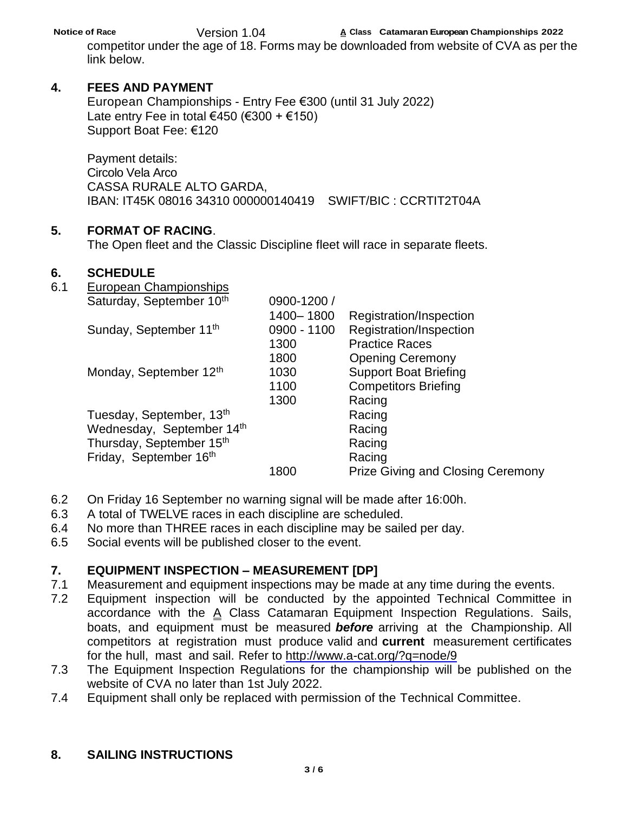**Notice of Race A Class Catamaran European Championships 2022**

Version 1.04 competitor under the age of 18. Forms may be downloaded from website of CVA as per the link below.

### **4. FEES AND PAYMENT**

European Championships - Entry Fee €300 (until 31 July 2022) Late entry Fee in total €450 (€300 + €150) Support Boat Fee: €120

Payment details: Circolo Vela Arco CASSA RURALE ALTO GARDA, IBAN: IT45K 08016 34310 000000140419 SWIFT/BIC : CCRTIT2T04A

#### **5. FORMAT OF RACING**.

The Open fleet and the Classic Discipline fleet will race in separate fleets.

#### **6. SCHEDULE**

| 6.1 | European Championships               |               |                                          |
|-----|--------------------------------------|---------------|------------------------------------------|
|     | Saturday, September 10th             | 0900-1200 /   |                                          |
|     |                                      | 1400-1800     | Registration/Inspection                  |
|     | Sunday, September 11 <sup>th</sup>   | $0900 - 1100$ | Registration/Inspection                  |
|     |                                      | 1300          | <b>Practice Races</b>                    |
|     |                                      | 1800          | <b>Opening Ceremony</b>                  |
|     | Monday, September 12th               | 1030          | <b>Support Boat Briefing</b>             |
|     |                                      | 1100          | <b>Competitors Briefing</b>              |
|     |                                      | 1300          | Racing                                   |
|     | Tuesday, September, 13 <sup>th</sup> |               | Racing                                   |
|     | Wednesday, September 14th            |               | Racing                                   |
|     | Thursday, September 15 <sup>th</sup> |               | Racing                                   |
|     | Friday, September 16th               |               | Racing                                   |
|     |                                      | 1800          | <b>Prize Giving and Closing Ceremony</b> |
|     |                                      |               |                                          |

- 6.2 On Friday 16 September no warning signal will be made after 16:00h.
- 6.3 A total of TWELVE races in each discipline are scheduled.
- 6.4 No more than THREE races in each discipline may be sailed per day.
- 6.5 Social events will be published closer to the event.

## **7. EQUIPMENT INSPECTION – MEASUREMENT [DP]**

- 7.1 Measurement and equipment inspections may be made at any time during the events.
- 7.2 Equipment inspection will be conducted by the appointed Technical Committee in accordance with the  $\underline{A}$  Class Catamaran Equipment Inspection Regulations. Sails, boats, and equipment must be measured *before* arriving at the Championship. All competitors at registration must produce valid and **current** measurement certificates for the hull, mast and sail. Refer to<http://www.a-cat.org/?q=node/9>
- 7.3 The Equipment Inspection Regulations for the championship will be published on the website of CVA no later than 1st July 2022.
- 7.4 Equipment shall only be replaced with permission of the Technical Committee.

## **8. SAILING INSTRUCTIONS**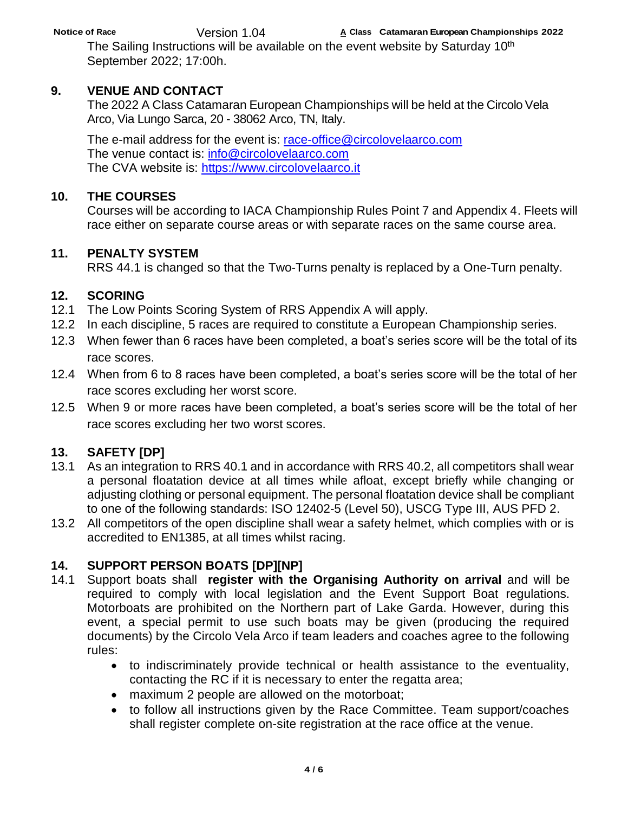## Version 1.04

**Notice of Race A Class Catamaran European Championships 2022**

The Sailing Instructions will be available on the event website by Saturday 10<sup>th</sup> September 2022; 17:00h.

## **9. VENUE AND CONTACT**

The 2022 A Class Catamaran European Championships will be held at the Circolo Vela Arco, Via Lungo Sarca, 20 - 38062 Arco, TN, Italy.

The e-mail address for the event is: [race-office@circolovelaarco.com](mailto:race-office@circolovelaarco.com) The venue contact is: [info@circolovelaarco.com](mailto:info@circolovelaarco.com) The CVA website is: [https://www.circolovelaarco.it](https://www.circolovelaarco.it/)

## **10. THE COURSES**

Courses will be according to IACA Championship Rules Point 7 and Appendix 4. Fleets will race either on separate course areas or with separate races on the same course area.

## **11. PENALTY SYSTEM**

RRS 44.1 is changed so that the Two-Turns penalty is replaced by a One-Turn penalty.

## **12. SCORING**

- 12.1 The Low Points Scoring System of RRS Appendix A will apply.
- 12.2 In each discipline, 5 races are required to constitute a European Championship series.
- 12.3 When fewer than 6 races have been completed, a boat's series score will be the total of its race scores.
- 12.4 When from 6 to 8 races have been completed, a boat's series score will be the total of her race scores excluding her worst score.
- 12.5 When 9 or more races have been completed, a boat's series score will be the total of her race scores excluding her two worst scores.

## **13. SAFETY [DP]**

- 13.1 As an integration to RRS 40.1 and in accordance with RRS 40.2, all competitors shall wear a personal floatation device at all times while afloat, except briefly while changing or adjusting clothing or personal equipment. The personal floatation device shall be compliant to one of the following standards: ISO 12402-5 (Level 50), USCG Type III, AUS PFD 2.
- 13.2 All competitors of the open discipline shall wear a safety helmet, which complies with or is accredited to EN1385, at all times whilst racing.

## **14. SUPPORT PERSON BOATS [DP][NP]**

- 14.1 Support boats shall **register with the Organising Authority on arrival** and will be required to comply with local legislation and the Event Support Boat regulations. Motorboats are prohibited on the Northern part of Lake Garda. However, during this event, a special permit to use such boats may be given (producing the required documents) by the Circolo Vela Arco if team leaders and coaches agree to the following rules:
	- to indiscriminately provide technical or health assistance to the eventuality, contacting the RC if it is necessary to enter the regatta area;
	- maximum 2 people are allowed on the motorboat;
	- to follow all instructions given by the Race Committee. Team support/coaches shall register complete on-site registration at the race office at the venue.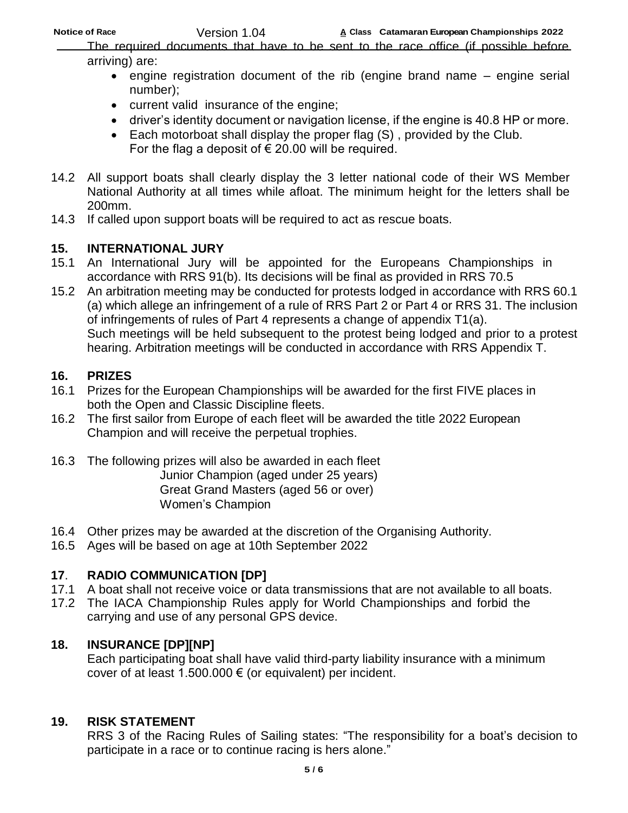Version 1.04

**Notice of Race A Class Catamaran European Championships 2022**

The required documents that have to be sent to the race office (if possible before arriving) are:

- engine registration document of the rib (engine brand name engine serial number);
- current valid insurance of the engine;
- driver's identity document or navigation license, if the engine is 40.8 HP or more.
- Each motorboat shall display the proper flag (S) , provided by the Club. For the flag a deposit of  $\epsilon$  20.00 will be required.
- 14.2 All support boats shall clearly display the 3 letter national code of their WS Member National Authority at all times while afloat. The minimum height for the letters shall be 200mm.
- 14.3 If called upon support boats will be required to act as rescue boats.

## **15. INTERNATIONAL JURY**

- 15.1 An International Jury will be appointed for the Europeans Championships in accordance with RRS 91(b). Its decisions will be final as provided in RRS 70.5
- 15.2 An arbitration meeting may be conducted for protests lodged in accordance with RRS 60.1 (a) which allege an infringement of a rule of RRS Part 2 or Part 4 or RRS 31. The inclusion of infringements of rules of Part 4 represents a change of appendix T1(a). Such meetings will be held subsequent to the protest being lodged and prior to a protest hearing. Arbitration meetings will be conducted in accordance with RRS Appendix T.

## **16. PRIZES**

- 16.1 Prizes for the European Championships will be awarded for the first FIVE places in both the Open and Classic Discipline fleets.
- 16.2 The first sailor from Europe of each fleet will be awarded the title 2022 European Champion and will receive the perpetual trophies.
- 16.3 The following prizes will also be awarded in each fleet Junior Champion (aged under 25 years) Great Grand Masters (aged 56 or over) Women's Champion
- 16.4 Other prizes may be awarded at the discretion of the Organising Authority.
- 16.5 Ages will be based on age at 10th September 2022

## **17**. **RADIO COMMUNICATION [DP]**

- 17.1 A boat shall not receive voice or data transmissions that are not available to all boats.
- 17.2 The IACA Championship Rules apply for World Championships and forbid the carrying and use of any personal GPS device.

## **18. INSURANCE [DP][NP]**

Each participating boat shall have valid third-party liability insurance with a minimum cover of at least 1.500.000  $\epsilon$  (or equivalent) per incident.

## **19. RISK STATEMENT**

RRS 3 of the Racing Rules of Sailing states: "The responsibility for a boat's decision to participate in a race or to continue racing is hers alone."